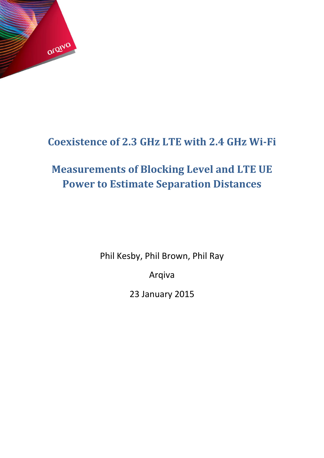

# <span id="page-0-0"></span>**Coexistence of 2.3 GHz LTE with 2.4 GHz Wi-Fi**

# <span id="page-0-1"></span>**Measurements of Blocking Level and LTE UE Power to Estimate Separation Distances**

Phil Kesby, Phil Brown, Phil Ray

Arqiva

23 January 2015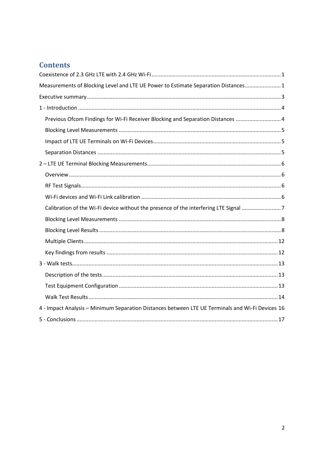# **Contents**

| Measurements of Blocking Level and LTE UE Power to Estimate Separation Distances 1               |
|--------------------------------------------------------------------------------------------------|
|                                                                                                  |
|                                                                                                  |
| Previous Ofcom Findings for Wi-Fi Receiver Blocking and Separation Distances  4                  |
|                                                                                                  |
|                                                                                                  |
|                                                                                                  |
|                                                                                                  |
|                                                                                                  |
|                                                                                                  |
|                                                                                                  |
| Calibration of the Wi-Fi device without the presence of the interfering LTE Signal 7             |
|                                                                                                  |
|                                                                                                  |
|                                                                                                  |
|                                                                                                  |
|                                                                                                  |
|                                                                                                  |
|                                                                                                  |
|                                                                                                  |
| 4 - Impact Analysis - Minimum Separation Distances between LTE UE Terminals and Wi-Fi Devices 16 |
|                                                                                                  |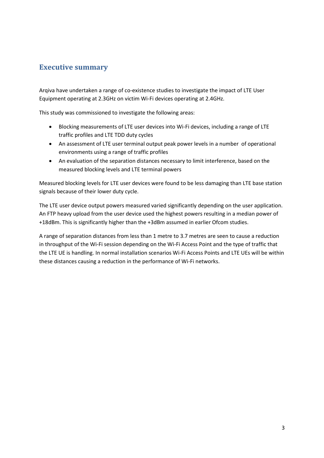## <span id="page-2-0"></span>**Executive summary**

Arqiva have undertaken a range of co-existence studies to investigate the impact of LTE User Equipment operating at 2.3GHz on victim Wi-Fi devices operating at 2.4GHz.

This study was commissioned to investigate the following areas:

- Blocking measurements of LTE user devices into Wi-Fi devices, including a range of LTE traffic profiles and LTE TDD duty cycles
- An assessment of LTE user terminal output peak power levels in a number of operational environments using a range of traffic profiles
- An evaluation of the separation distances necessary to limit interference, based on the measured blocking levels and LTE terminal powers

Measured blocking levels for LTE user devices were found to be less damaging than LTE base station signals because of their lower duty cycle.

The LTE user device output powers measured varied significantly depending on the user application. An FTP heavy upload from the user device used the highest powers resulting in a median power of +18dBm. This is significantly higher than the +3dBm assumed in earlier Ofcom studies.

A range of separation distances from less than 1 metre to 3.7 metres are seen to cause a reduction in throughput of the Wi-Fi session depending on the Wi-Fi Access Point and the type of traffic that the LTE UE is handling. In normal installation scenarios Wi-Fi Access Points and LTE UEs will be within these distances causing a reduction in the performance of Wi-Fi networks.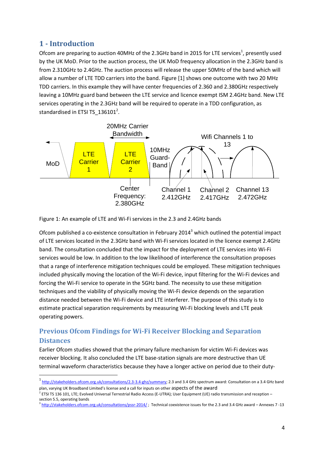## <span id="page-3-0"></span>**1 - Introduction**

1

Ofcom are preparing to auction 40MHz of the 2.3GHz band in 2015 for LTE services<sup>1</sup>, presently used by the UK MoD. Prior to the auction process, the UK MoD frequency allocation in the 2.3GHz band is from 2.310GHz to 2.4GHz. The auction process will release the upper 50MHz of the band which will allow a number of LTE TDD carriers into the band. Figure [1] shows one outcome with two 20 MHz TDD carriers. In this example they will have center frequencies of 2.360 and 2.380GHz respectively leaving a 10MHz guard band between the LTE service and licence exempt ISM 2.4GHz band. New LTE services operating in the 2.3GHz band will be required to operate in a TDD configuration, as standardised in ETSI TS\_136101<sup>2</sup>.



Figure 1: An example of LTE and Wi-Fi services in the 2.3 and 2.4GHz bands

Ofcom published a co-existence consultation in February 2014<sup>3</sup> which outlined the potential impact of LTE services located in the 2.3GHz band with Wi-Fi services located in the licence exempt 2.4GHz band. The consultation concluded that the impact for the deployment of LTE services into Wi-Fi services would be low. In addition to the low likelihood of interference the consultation proposes that a range of interference mitigation techniques could be employed. These mitigation techniques included physically moving the location of the Wi-Fi device, input filtering for the Wi-Fi devices and forcing the Wi-Fi service to operate in the 5GHz band. The necessity to use these mitigation techniques and the viability of physically moving the Wi-Fi device depends on the separation distance needed between the Wi-Fi device and LTE interferer. The purpose of this study is to estimate practical separation requirements by measuring Wi-Fi blocking levels and LTE peak operating powers.

## <span id="page-3-1"></span>**Previous Ofcom Findings for Wi-Fi Receiver Blocking and Separation Distances**

Earlier Ofcom studies showed that the primary failure mechanism for victim Wi-Fi devices was receiver blocking. It also concluded the LTE base-station signals are more destructive than UE terminal waveform characteristics because they have a longer active on period due to their duty-

<sup>&</sup>lt;sup>1</sup> [http://stakeholders.ofcom.org.uk/consultations/2.3-3.4-ghz/summary;](http://stakeholders.ofcom.org.uk/consultations/2.3-3.4-ghz/summary) 2.3 and 3.4 GHz spectrum award: Consultation on a 3.4 GHz band plan, varying UK Broadband Limited's license and a call for inputs on other aspects of the award

<sup>&</sup>lt;sup>2</sup> ETSI TS 136 101, LTE; Evolved Universal Terrestrial Radio Access (E-UTRA); User Equipment (UE) radio transmission and reception – section 5.5, operating bands

<sup>&</sup>lt;sup>3</sup> <http://stakeholders.ofcom.org.uk/consultations/pssr-2014/>; Technical coexistence issues for the 2.3 and 3.4 GHz award – Annexes 7 -13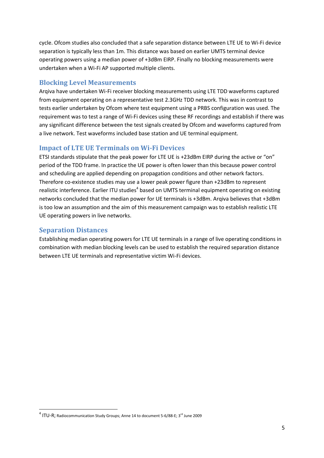cycle. Ofcom studies also concluded that a safe separation distance between LTE UE to Wi-Fi device separation is typically less than 1m. This distance was based on earlier UMTS terminal device operating powers using a median power of +3dBm EIRP. Finally no blocking measurements were undertaken when a Wi-Fi AP supported multiple clients.

## <span id="page-4-0"></span>**Blocking Level Measurements**

Arqiva have undertaken Wi-Fi receiver blocking measurements using LTE TDD waveforms captured from equipment operating on a representative test 2.3GHz TDD network. This was in contrast to tests earlier undertaken by Ofcom where test equipment using a PRBS configuration was used. The requirement was to test a range of Wi-Fi devices using these RF recordings and establish if there was any significant difference between the test signals created by Ofcom and waveforms captured from a live network. Test waveforms included base station and UE terminal equipment.

### <span id="page-4-1"></span>**Impact of LTE UE Terminals on Wi-Fi Devices**

ETSI standards stipulate that the peak power for LTE UE is +23dBm EIRP during the active or "on" period of the TDD frame. In practice the UE power is often lower than this because power control and scheduling are applied depending on propagation conditions and other network factors. Therefore co-existence studies may use a lower peak power figure than +23dBm to represent realistic interference. Earlier ITU studies<sup>4</sup> based on UMTS terminal equipment operating on existing networks concluded that the median power for UE terminals is +3dBm. Arqiva believes that +3dBm is too low an assumption and the aim of this measurement campaign was to establish realistic LTE UE operating powers in live networks.

#### <span id="page-4-2"></span>**Separation Distances**

**.** 

Establishing median operating powers for LTE UE terminals in a range of live operating conditions in combination with median blocking levels can be used to establish the required separation distance between LTE UE terminals and representative victim Wi-Fi devices.

 $^4$  ITU-R; Radiocommunication Study Groups; Anne 14 to document 5-6/88-E; 3<sup>rd</sup> June 2009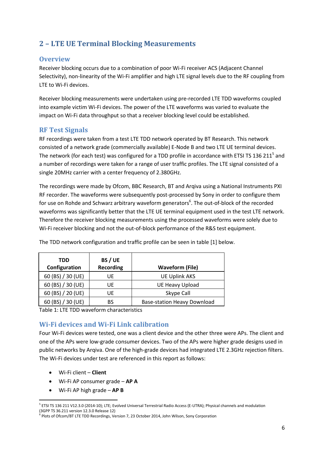# <span id="page-5-0"></span>**2 – LTE UE Terminal Blocking Measurements**

#### <span id="page-5-1"></span>**Overview**

Receiver blocking occurs due to a combination of poor Wi-Fi receiver ACS (Adjacent Channel Selectivity), non-linearity of the Wi-Fi amplifier and high LTE signal levels due to the RF coupling from LTE to Wi-Fi devices.

Receiver blocking measurements were undertaken using pre-recorded LTE TDD waveforms coupled into example victim Wi-Fi devices. The power of the LTE waveforms was varied to evaluate the impact on Wi-Fi data throughput so that a receiver blocking level could be established.

#### <span id="page-5-2"></span>**RF Test Signals**

RF recordings were taken from a test LTE TDD network operated by BT Research. This network consisted of a network grade (commercially available) E-Node B and two LTE UE terminal devices. The network (for each test) was configured for a TDD profile in accordance with ETSI TS 136 211<sup>5</sup> and a number of recordings were taken for a range of user traffic profiles. The LTE signal consisted of a single 20MHz carrier with a center frequency of 2.380GHz.

The recordings were made by Ofcom, BBC Research, BT and Arqiva using a National Instruments PXI RF recorder. The waveforms were subsequently post-processed by Sony in order to configure them for use on Rohde and Schwarz arbitrary waveform generators<sup>6</sup>. The out-of-block of the recorded waveforms was significantly better that the LTE UE terminal equipment used in the test LTE network. Therefore the receiver blocking measurements using the processed waveforms were solely due to Wi-Fi receiver blocking and not the out-of-block performance of the R&S test equipment.

| TDD<br>Configuration | BS / UE<br><b>Recording</b> | <b>Waveform (File)</b>             |
|----------------------|-----------------------------|------------------------------------|
| 60 (BS) / 30 (UE)    | UE                          | <b>UE Uplink AKS</b>               |
| 60 (BS) / 30 (UE)    | UE                          | <b>UE Heavy Upload</b>             |
| 60 (BS) / 20 (UE)    | UF                          | Skype Call                         |
| 60 (BS) / 30 (UE)    | BS                          | <b>Base-station Heavy Download</b> |

The TDD network configuration and traffic profile can be seen in table [1] below.

Table 1: LTE TDD waveform characteristics

### <span id="page-5-3"></span>**Wi-Fi devices and Wi-Fi Link calibration**

Four Wi-Fi devices were tested, one was a client device and the other three were APs. The client and one of the APs were low-grade consumer devices. Two of the APs were higher grade designs used in public networks by Arqiva. One of the high-grade devices had integrated LTE 2.3GHz rejection filters. The Wi-Fi devices under test are referenced in this report as follows:

- Wi-Fi client **Client**
- Wi-Fi AP consumer grade **AP A**
- Wi-Fi AP high grade **AP B**

<sup>1</sup> <sup>5</sup> ETSI TS 136 211 V12.3.0 (2014-10); LTE; Evolved Universal Terrestrial Radio Access (E-UTRA); Physical channels and modulation (3GPP TS 36.211 version 12.3.0 Release 12)

<sup>6</sup> Plots of Ofcom/BT LTE TDD Recordings, Version 7, 23 October 2014, John Wilson, Sony Corporation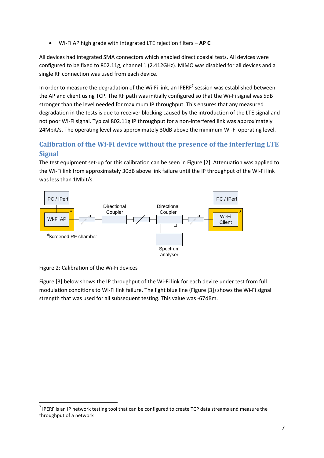Wi-Fi AP high grade with integrated LTE rejection filters – **AP C**

All devices had integrated SMA connectors which enabled direct coaxial tests. All devices were configured to be fixed to 802.11g, channel 1 (2.412GHz). MIMO was disabled for all devices and a single RF connection was used from each device.

In order to measure the degradation of the Wi-Fi link, an IPERF<sup>7</sup> session was established between the AP and client using TCP. The RF path was initially configured so that the Wi-Fi signal was 5dB stronger than the level needed for maximum IP throughput. This ensures that any measured degradation in the tests is due to receiver blocking caused by the introduction of the LTE signal and not poor Wi-Fi signal. Typical 802.11g IP throughput for a non-interfered link was approximately 24Mbit/s. The operating level was approximately 30dB above the minimum Wi-Fi operating level.

## <span id="page-6-0"></span>**Calibration of the Wi-Fi device without the presence of the interfering LTE Signal**

The test equipment set-up for this calibration can be seen in Figure [2]. Attenuation was applied to the Wi-Fi link from approximately 30dB above link failure until the IP throughput of the Wi-Fi link was less than 1Mbit/s.



Figure 2: Calibration of the Wi-Fi devices

**.** 

Figure [3] below shows the IP throughput of the Wi-Fi link for each device under test from full modulation conditions to Wi-Fi link failure. The light blue line (Figure [3]) shows the Wi-Fi signal strength that was used for all subsequent testing. This value was -67dBm.

 $<sup>7</sup>$  IPERF is an IP network testing tool that can be configured to create TCP data streams and measure the</sup> throughput of a network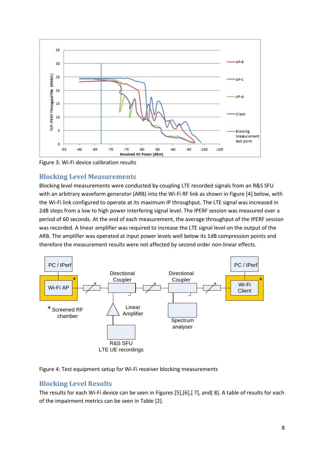

Figure 3: Wi-Fi device calibration results

### <span id="page-7-0"></span>**Blocking Level Measurements**

Blocking level measurements were conducted by coupling LTE recorded signals from an R&S SFU with an arbitrary waveform generator (ARB) into the Wi-Fi RF link as shown in Figure [4] below, with the Wi-Fi link configured to operate at its maximum IP throughput. The LTE signal was increased in 2dB steps from a low to high power interfering signal level. The IPERF session was measured over a period of 60 seconds. At the end of each measurement, the average throughput of the IPERF session was recorded. A linear amplifier was required to increase the LTE signal level on the output of the ARB. The amplifier was operated at input power levels well below its 1dB compression points and therefore the measurement results were not affected by second order non-linear effects.



Figure 4: Test equipment setup for Wi-Fi receiver blocking measurements

## <span id="page-7-1"></span>**Blocking Level Results**

The results for each Wi-Fi device can be seen in Figures [5],[6],[ 7], and[ 8]. A table of results for each of the impairment metrics can be seen in Table [2].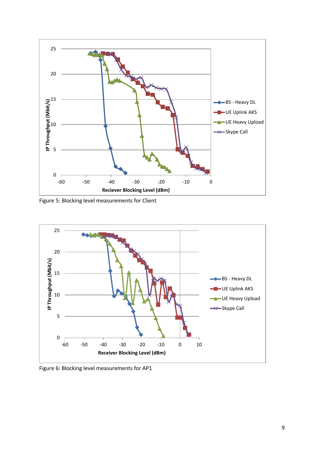

Figure 5: Blocking level measurements for Client



Figure 6: Blocking level measurements for AP1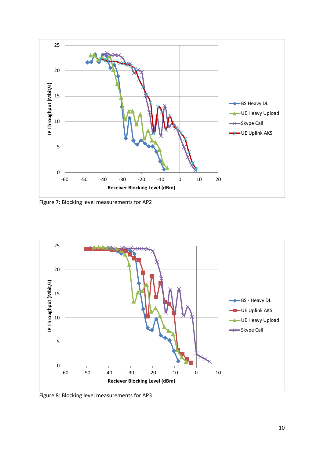

Figure 7: Blocking level measurements for AP2



Figure 8: Blocking level measurements for AP3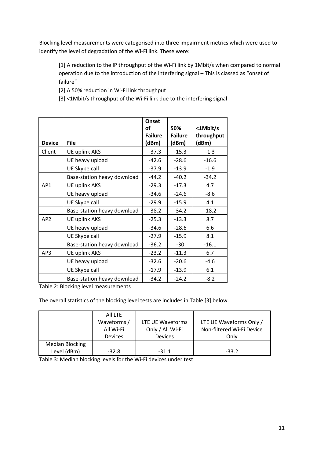Blocking level measurements were categorised into three impairment metrics which were used to identify the level of degradation of the Wi-Fi link. These were:

[1] A reduction to the IP throughput of the Wi-Fi link by 1Mbit/s when compared to normal operation due to the introduction of the interfering signal – This is classed as "onset of failure"

[2] A 50% reduction in Wi-Fi link throughput

[3] <1Mbit/s throughput of the Wi-Fi link due to the interfering signal

|                 |                             | <b>Onset</b><br>οf<br><b>Failure</b> | 50%<br><b>Failure</b> | <1Mbit/s<br>throughput |
|-----------------|-----------------------------|--------------------------------------|-----------------------|------------------------|
| <b>Device</b>   | <b>File</b>                 | (dBm)                                | (dBm)                 | (dBm)                  |
| Client          | <b>UE uplink AKS</b>        | $-37.3$                              | $-15.3$               | $-1.3$                 |
|                 | UE heavy upload             | $-42.6$                              | $-28.6$               | $-16.6$                |
|                 | UE Skype call               | $-37.9$                              | $-13.9$               | $-1.9$                 |
|                 | Base-station heavy download | $-44.2$                              | $-40.2$               | $-34.2$                |
| AP1             | UE uplink AKS               | $-29.3$                              | $-17.3$               | 4.7                    |
|                 | UE heavy upload             | $-34.6$                              | $-24.6$               | $-8.6$                 |
|                 | UE Skype call               | $-29.9$                              | $-15.9$               | 4.1                    |
|                 | Base-station heavy download | $-38.2$                              | $-34.2$               | $-18.2$                |
| AP <sub>2</sub> | <b>UE uplink AKS</b>        | $-25.3$                              | $-13.3$               | 8.7                    |
|                 | UE heavy upload             | $-34.6$                              | $-28.6$               | 6.6                    |
|                 | UE Skype call               | $-27.9$                              | $-15.9$               | 8.1                    |
|                 | Base-station heavy download | $-36.2$                              | $-30$                 | $-16.1$                |
| AP3             | UE uplink AKS               | $-23.2$                              | $-11.3$               | 6.7                    |
|                 | UE heavy upload             | $-32.6$                              | $-20.6$               | $-4.6$                 |
|                 | UE Skype call               | $-17.9$                              | $-13.9$               | 6.1                    |
|                 | Base-station heavy download | $-34.2$                              | $-24.2$               | $-8.2$                 |

Table 2: Blocking level measurements

The overall statistics of the blocking level tests are includes in Table [3] below.

|                 | All LTE        |                  |                           |
|-----------------|----------------|------------------|---------------------------|
|                 | Waveforms /    | LTE UE Waveforms | LTE UE Waveforms Only /   |
|                 | All Wi-Fi      | Only / All Wi-Fi | Non-filtered Wi-Fi Device |
|                 | <b>Devices</b> | <b>Devices</b>   | Onlv                      |
| Median Blocking |                |                  |                           |
| Level (dBm)     | $-32.8$        | $-31.1$          | $-33.2$                   |

Table 3: Median blocking levels for the Wi-Fi devices under test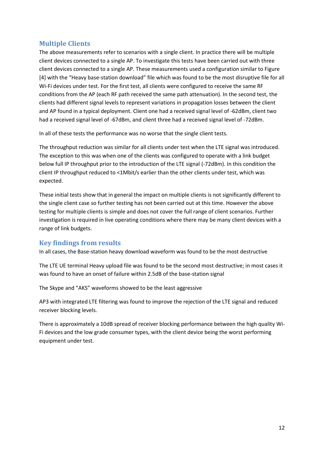## <span id="page-11-0"></span>**Multiple Clients**

The above measurements refer to scenarios with a single client. In practice there will be multiple client devices connected to a single AP. To investigate this tests have been carried out with three client devices connected to a single AP. These measurements used a configuration similar to Figure [4] with the "Heavy base-station download" file which was found to be the most disruptive file for all Wi-Fi devices under test. For the first test, all clients were configured to receive the same RF conditions from the AP (each RF path received the same path attenuation). In the second test, the clients had different signal levels to represent variations in propagation losses between the client and AP found in a typical deployment. Client one had a received signal level of -62dBm, client two had a received signal level of -67dBm, and client three had a received signal level of -72dBm.

In all of these tests the performance was no worse that the single client tests.

The throughput reduction was similar for all clients under test when the LTE signal was introduced. The exception to this was when one of the clients was configured to operate with a link budget below full IP throughput prior to the introduction of the LTE signal (-72dBm). In this condition the client IP throughput reduced to <1Mbit/s earlier than the other clients under test, which was expected.

These initial tests show that in general the impact on multiple clients is not significantly different to the single client case so further testing has not been carried out at this time. However the above testing for multiple clients is simple and does not cover the full range of client scenarios. Further investigation is required in live operating conditions where there may be many client devices with a range of link budgets.

### <span id="page-11-1"></span>**Key findings from results**

In all cases, the Base-station heavy download waveform was found to be the most destructive

The LTE UE terminal Heavy upload file was found to be the second most destructive; in most cases it was found to have an onset of failure within 2.5dB of the base-station signal

The Skype and "AKS" waveforms showed to be the least aggressive

AP3 with integrated LTE filtering was found to improve the rejection of the LTE signal and reduced receiver blocking levels.

There is approximately a 10dB spread of receiver blocking performance between the high quality Wi-Fi devices and the low grade consumer types, with the client device being the worst performing equipment under test.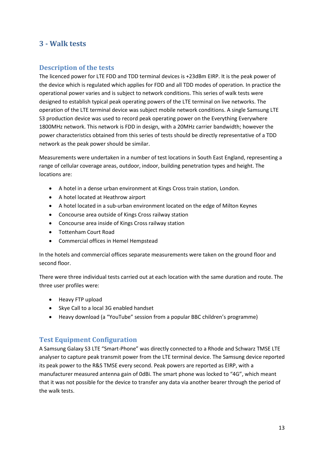## <span id="page-12-0"></span>**3 - Walk tests**

#### <span id="page-12-1"></span>**Description of the tests**

The licenced power for LTE FDD and TDD terminal devices is +23dBm EIRP. It is the peak power of the device which is regulated which applies for FDD and all TDD modes of operation. In practice the operational power varies and is subject to network conditions. This series of walk tests were designed to establish typical peak operating powers of the LTE terminal on live networks. The operation of the LTE terminal device was subject mobile network conditions. A single Samsung LTE S3 production device was used to record peak operating power on the Everything Everywhere 1800MHz network. This network is FDD in design, with a 20MHz carrier bandwidth; however the power characteristics obtained from this series of tests should be directly representative of a TDD network as the peak power should be similar.

Measurements were undertaken in a number of test locations in South East England, representing a range of cellular coverage areas, outdoor, indoor, building penetration types and height. The locations are:

- A hotel in a dense urban environment at Kings Cross train station, London.
- A hotel located at Heathrow airport
- A hotel located in a sub-urban environment located on the edge of Milton Keynes
- Concourse area outside of Kings Cross railway station
- Concourse area inside of Kings Cross railway station
- Tottenham Court Road
- Commercial offices in Hemel Hempstead

In the hotels and commercial offices separate measurements were taken on the ground floor and second floor.

There were three individual tests carried out at each location with the same duration and route. The three user profiles were:

- Heavy FTP upload
- Skye Call to a local 3G enabled handset
- Heavy download (a "YouTube" session from a popular BBC children's programme)

#### <span id="page-12-2"></span>**Test Equipment Configuration**

A Samsung Galaxy S3 LTE "Smart-Phone" was directly connected to a Rhode and Schwarz TMSE LTE analyser to capture peak transmit power from the LTE terminal device. The Samsung device reported its peak power to the R&S TMSE every second. Peak powers are reported as EIRP, with a manufacturer measured antenna gain of 0dBi. The smart phone was locked to "4G", which meant that it was not possible for the device to transfer any data via another bearer through the period of the walk tests.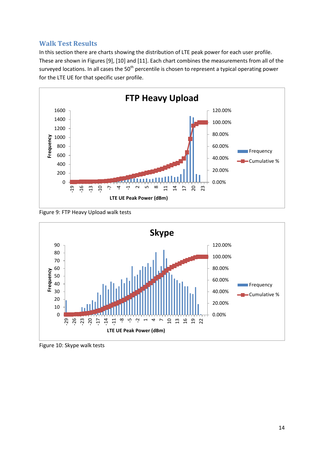#### <span id="page-13-0"></span>**Walk Test Results**

In this section there are charts showing the distribution of LTE peak power for each user profile. These are shown in Figures [9], [10] and [11]. Each chart combines the measurements from all of the surveyed locations. In all cases the  $50<sup>th</sup>$  percentile is chosen to represent a typical operating power for the LTE UE for that specific user profile.



Figure 9: FTP Heavy Upload walk tests



Figure 10: Skype walk tests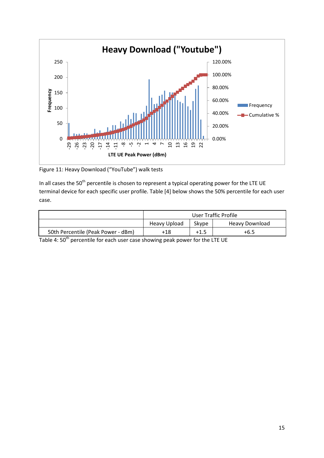

Figure 11: Heavy Download ("YouTube") walk tests

In all cases the 50<sup>th</sup> percentile is chosen to represent a typical operating power for the LTE UE terminal device for each specific user profile. Table [4] below shows the 50% percentile for each user case.

|                                    | User Traffic Profile |       |                |  |
|------------------------------------|----------------------|-------|----------------|--|
|                                    | Heavy Upload         | Skype | Heavy Download |  |
| 50th Percentile (Peak Power - dBm) | +18                  | +1.5  | +6.5           |  |

Table 4: 50<sup>th</sup> percentile for each user case showing peak power for the LTE UE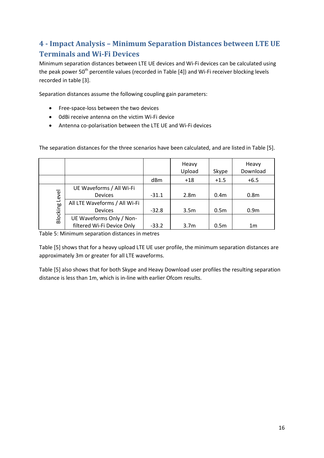# <span id="page-15-0"></span>**4 - Impact Analysis – Minimum Separation Distances between LTE UE Terminals and Wi-Fi Devices**

Minimum separation distances between LTE UE devices and Wi-Fi devices can be calculated using the peak power 50<sup>th</sup> percentile values (recorded in Table [4]) and Wi-Fi receiver blocking levels recorded in table [3].

Separation distances assume the following coupling gain parameters:

- Free-space-loss between the two devices
- 0dBi receive antenna on the victim Wi-Fi device
- Antenna co-polarisation between the LTE UE and Wi-Fi devices

|                       |                               |         | Heavy<br>Upload  | Skype            | Heavy<br>Download |
|-----------------------|-------------------------------|---------|------------------|------------------|-------------------|
|                       |                               | dBm     | $+18$            | $+1.5$           | $+6.5$            |
|                       | UE Waveforms / All Wi-Fi      |         |                  |                  |                   |
|                       | <b>Devices</b>                | $-31.1$ | 2.8 <sub>m</sub> | 0.4 <sub>m</sub> | 0.8 <sub>m</sub>  |
|                       | All LTE Waveforms / All Wi-Fi |         |                  |                  |                   |
|                       | <b>Devices</b>                | $-32.8$ | 3.5 <sub>m</sub> | 0.5 <sub>m</sub> | 0.9 <sub>m</sub>  |
| <b>Blocking Level</b> | UE Waveforms Only / Non-      |         |                  |                  |                   |
|                       | filtered Wi-Fi Device Only    | $-33.2$ | 3.7 <sub>m</sub> | 0.5 <sub>m</sub> | 1 <sub>m</sub>    |

The separation distances for the three scenarios have been calculated, and are listed in Table [5].

Table 5: Minimum separation distances in metres

Table [5] shows that for a heavy upload LTE UE user profile, the minimum separation distances are approximately 3m or greater for all LTE waveforms.

Table [5] also shows that for both Skype and Heavy Download user profiles the resulting separation distance is less than 1m, which is in-line with earlier Ofcom results.